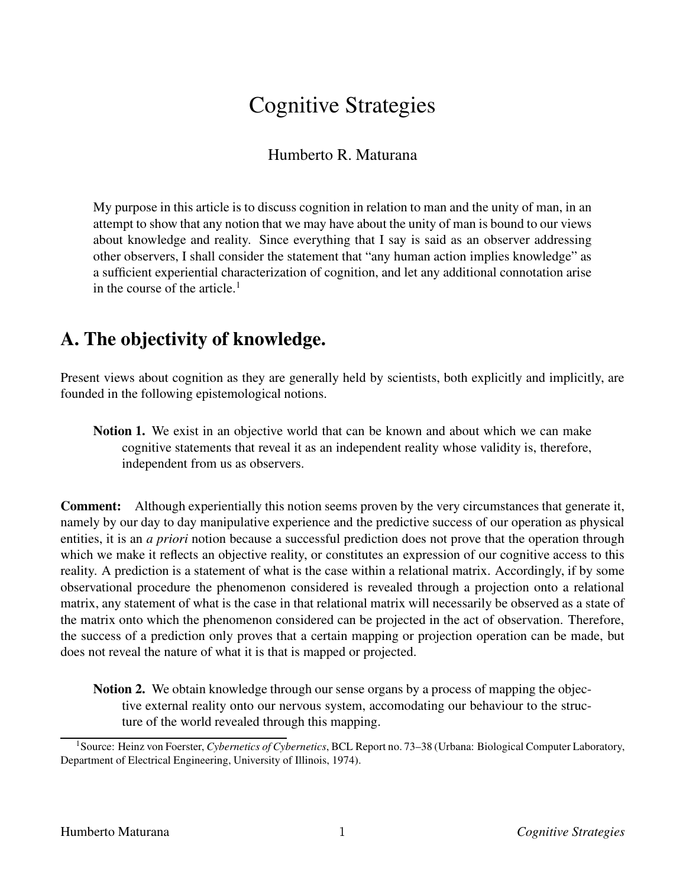# Cognitive Strategies

### Humberto R. Maturana

My purpose in this article is to discuss cognition in relation to man and the unity of man, in an attempt to show that any notion that we may have about the unity of man is bound to our views about knowledge and reality. Since everything that I say is said as an observer addressing other observers, I shall consider the statement that "any human action implies knowledge" as a sufficient experiential characterization of cognition, and let any additional connotation arise in the course of the article.<sup>1</sup>

## **A. The objectivity of knowledge.**

Present views about cognition as they are generally held by scientists, both explicitly and implicitly, are founded in the following epistemological notions.

**Notion 1.** We exist in an objective world that can be known and about which we can make cognitive statements that reveal it as an independent reality whose validity is, therefore, independent from us as observers.

**Comment:** Although experientially this notion seems proven by the very circumstances that generate it, namely by our day to day manipulative experience and the predictive success of our operation as physical entities, it is an *a priori* notion because a successful prediction does not prove that the operation through which we make it reflects an objective reality, or constitutes an expression of our cognitive access to this reality. A prediction is a statement of what is the case within a relational matrix. Accordingly, if by some observational procedure the phenomenon considered is revealed through a projection onto a relational matrix, any statement of what is the case in that relational matrix will necessarily be observed as a state of the matrix onto which the phenomenon considered can be projected in the act of observation. Therefore, the success of a prediction only proves that a certain mapping or projection operation can be made, but does not reveal the nature of what it is that is mapped or projected.

**Notion 2.** We obtain knowledge through our sense organs by a process of mapping the objective external reality onto our nervous system, accomodating our behaviour to the structure of the world revealed through this mapping.

<sup>1</sup>Source: Heinz von Foerster, *Cybernetics of Cybernetics*, BCL Report no. 73–38 (Urbana: Biological Computer Laboratory, Department of Electrical Engineering, University of Illinois, 1974).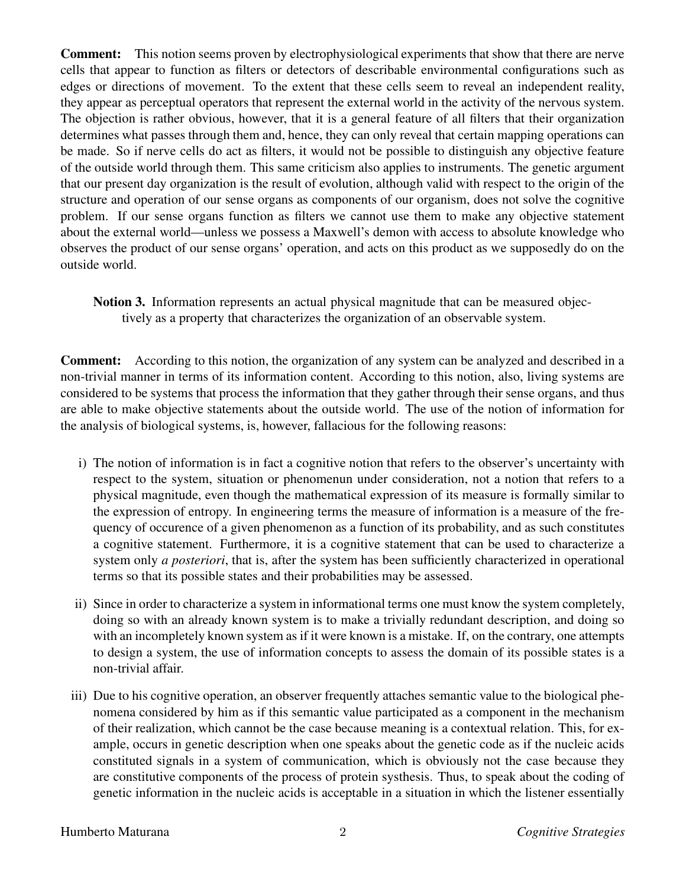**Comment:** This notion seems proven by electrophysiological experiments that show that there are nerve cells that appear to function as filters or detectors of describable environmental configurations such as edges or directions of movement. To the extent that these cells seem to reveal an independent reality, they appear as perceptual operators that represent the external world in the activity of the nervous system. The objection is rather obvious, however, that it is a general feature of all filters that their organization determines what passes through them and, hence, they can only reveal that certain mapping operations can be made. So if nerve cells do act as filters, it would not be possible to distinguish any objective feature of the outside world through them. This same criticism also applies to instruments. The genetic argument that our present day organization is the result of evolution, although valid with respect to the origin of the structure and operation of our sense organs as components of our organism, does not solve the cognitive problem. If our sense organs function as filters we cannot use them to make any objective statement about the external world—unless we possess a Maxwell's demon with access to absolute knowledge who observes the product of our sense organs' operation, and acts on this product as we supposedly do on the outside world.

**Notion 3.** Information represents an actual physical magnitude that can be measured objectively as a property that characterizes the organization of an observable system.

**Comment:** According to this notion, the organization of any system can be analyzed and described in a non-trivial manner in terms of its information content. According to this notion, also, living systems are considered to be systems that process the information that they gather through their sense organs, and thus are able to make objective statements about the outside world. The use of the notion of information for the analysis of biological systems, is, however, fallacious for the following reasons:

- i) The notion of information is in fact a cognitive notion that refers to the observer's uncertainty with respect to the system, situation or phenomenun under consideration, not a notion that refers to a physical magnitude, even though the mathematical expression of its measure is formally similar to the expression of entropy. In engineering terms the measure of information is a measure of the frequency of occurence of a given phenomenon as a function of its probability, and as such constitutes a cognitive statement. Furthermore, it is a cognitive statement that can be used to characterize a system only *a posteriori*, that is, after the system has been sufficiently characterized in operational terms so that its possible states and their probabilities may be assessed.
- ii) Since in order to characterize a system in informational terms one must know the system completely, doing so with an already known system is to make a trivially redundant description, and doing so with an incompletely known system as if it were known is a mistake. If, on the contrary, one attempts to design a system, the use of information concepts to assess the domain of its possible states is a non-trivial affair.
- iii) Due to his cognitive operation, an observer frequently attaches semantic value to the biological phenomena considered by him as if this semantic value participated as a component in the mechanism of their realization, which cannot be the case because meaning is a contextual relation. This, for example, occurs in genetic description when one speaks about the genetic code as if the nucleic acids constituted signals in a system of communication, which is obviously not the case because they are constitutive components of the process of protein systhesis. Thus, to speak about the coding of genetic information in the nucleic acids is acceptable in a situation in which the listener essentially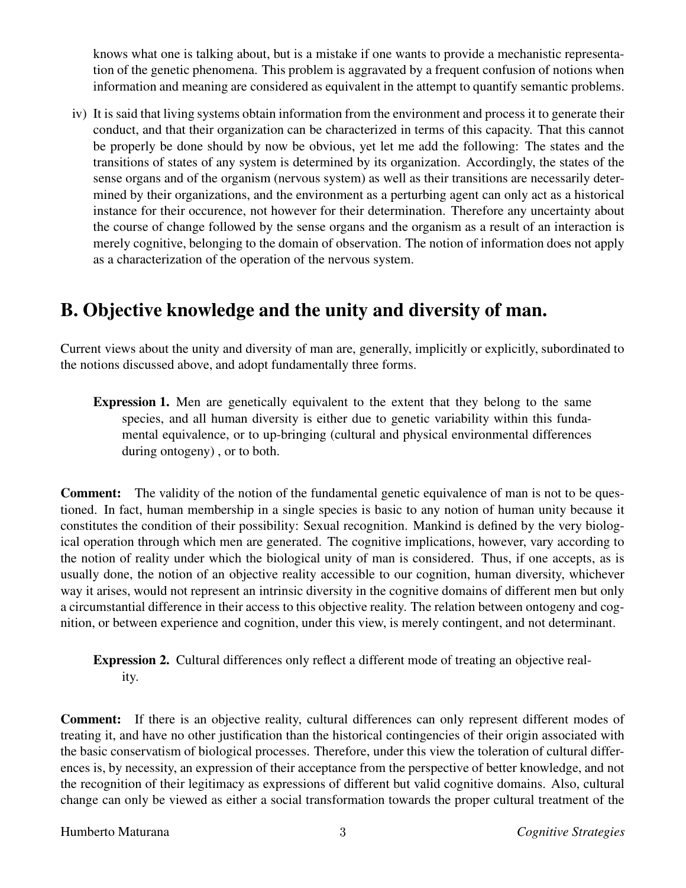knows what one is talking about, but is a mistake if one wants to provide a mechanistic representation of the genetic phenomena. This problem is aggravated by a frequent confusion of notions when information and meaning are considered as equivalent in the attempt to quantify semantic problems.

iv) It is said that living systems obtain information from the environment and process it to generate their conduct, and that their organization can be characterized in terms of this capacity. That this cannot be properly be done should by now be obvious, yet let me add the following: The states and the transitions of states of any system is determined by its organization. Accordingly, the states of the sense organs and of the organism (nervous system) as well as their transitions are necessarily determined by their organizations, and the environment as a perturbing agent can only act as a historical instance for their occurence, not however for their determination. Therefore any uncertainty about the course of change followed by the sense organs and the organism as a result of an interaction is merely cognitive, belonging to the domain of observation. The notion of information does not apply as a characterization of the operation of the nervous system.

### **B. Objective knowledge and the unity and diversity of man.**

Current views about the unity and diversity of man are, generally, implicitly or explicitly, subordinated to the notions discussed above, and adopt fundamentally three forms.

**Expression 1.** Men are genetically equivalent to the extent that they belong to the same species, and all human diversity is either due to genetic variability within this fundamental equivalence, or to up-bringing (cultural and physical environmental differences during ontogeny) , or to both.

**Comment:** The validity of the notion of the fundamental genetic equivalence of man is not to be questioned. In fact, human membership in a single species is basic to any notion of human unity because it constitutes the condition of their possibility: Sexual recognition. Mankind is defined by the very biological operation through which men are generated. The cognitive implications, however, vary according to the notion of reality under which the biological unity of man is considered. Thus, if one accepts, as is usually done, the notion of an objective reality accessible to our cognition, human diversity, whichever way it arises, would not represent an intrinsic diversity in the cognitive domains of different men but only a circumstantial difference in their access to this objective reality. The relation between ontogeny and cognition, or between experience and cognition, under this view, is merely contingent, and not determinant.

**Expression 2.** Cultural differences only reflect a different mode of treating an objective reality.

**Comment:** If there is an objective reality, cultural differences can only represent different modes of treating it, and have no other justification than the historical contingencies of their origin associated with the basic conservatism of biological processes. Therefore, under this view the toleration of cultural differences is, by necessity, an expression of their acceptance from the perspective of better knowledge, and not the recognition of their legitimacy as expressions of different but valid cognitive domains. Also, cultural change can only be viewed as either a social transformation towards the proper cultural treatment of the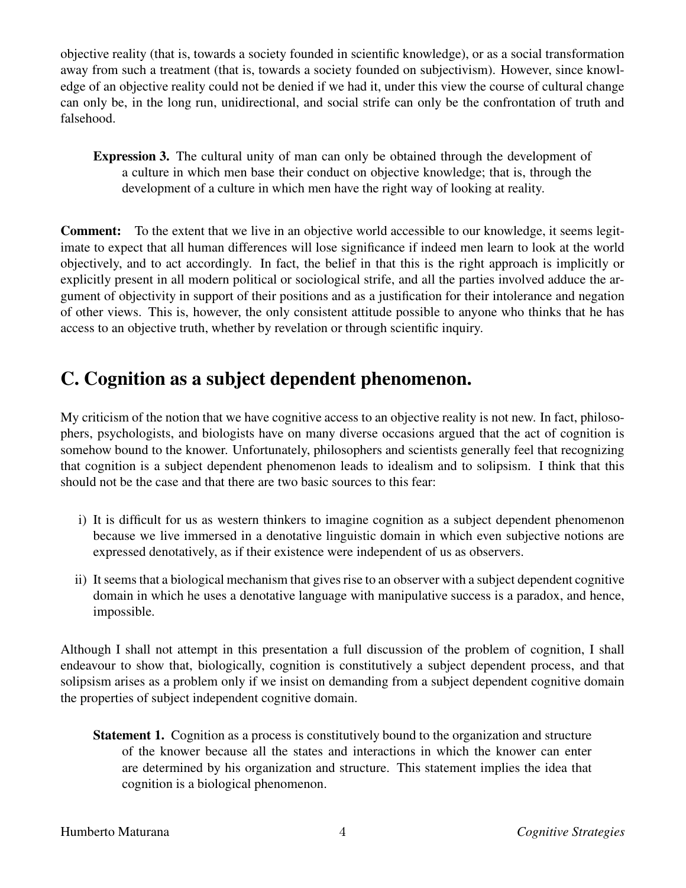objective reality (that is, towards a society founded in scientific knowledge), or as a social transformation away from such a treatment (that is, towards a society founded on subjectivism). However, since knowledge of an objective reality could not be denied if we had it, under this view the course of cultural change can only be, in the long run, unidirectional, and social strife can only be the confrontation of truth and falsehood.

**Expression 3.** The cultural unity of man can only be obtained through the development of a culture in which men base their conduct on objective knowledge; that is, through the development of a culture in which men have the right way of looking at reality.

**Comment:** To the extent that we live in an objective world accessible to our knowledge, it seems legitimate to expect that all human differences will lose significance if indeed men learn to look at the world objectively, and to act accordingly. In fact, the belief in that this is the right approach is implicitly or explicitly present in all modern political or sociological strife, and all the parties involved adduce the argument of objectivity in support of their positions and as a justification for their intolerance and negation of other views. This is, however, the only consistent attitude possible to anyone who thinks that he has access to an objective truth, whether by revelation or through scientific inquiry.

## **C. Cognition as a subject dependent phenomenon.**

My criticism of the notion that we have cognitive access to an objective reality is not new. In fact, philosophers, psychologists, and biologists have on many diverse occasions argued that the act of cognition is somehow bound to the knower. Unfortunately, philosophers and scientists generally feel that recognizing that cognition is a subject dependent phenomenon leads to idealism and to solipsism. I think that this should not be the case and that there are two basic sources to this fear:

- i) It is difficult for us as western thinkers to imagine cognition as a subject dependent phenomenon because we live immersed in a denotative linguistic domain in which even subjective notions are expressed denotatively, as if their existence were independent of us as observers.
- ii) It seems that a biological mechanism that gives rise to an observer with a subject dependent cognitive domain in which he uses a denotative language with manipulative success is a paradox, and hence, impossible.

Although I shall not attempt in this presentation a full discussion of the problem of cognition, I shall endeavour to show that, biologically, cognition is constitutively a subject dependent process, and that solipsism arises as a problem only if we insist on demanding from a subject dependent cognitive domain the properties of subject independent cognitive domain.

**Statement 1.** Cognition as a process is constitutively bound to the organization and structure of the knower because all the states and interactions in which the knower can enter are determined by his organization and structure. This statement implies the idea that cognition is a biological phenomenon.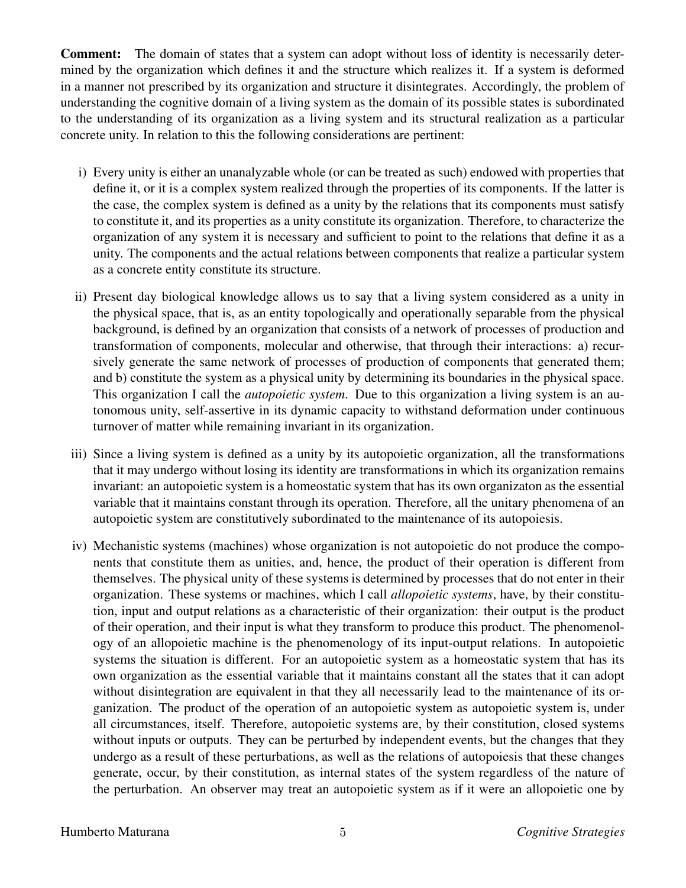**Comment:** The domain of states that a system can adopt without loss of identity is necessarily determined by the organization which defines it and the structure which realizes it. If a system is deformed in a manner not prescribed by its organization and structure it disintegrates. Accordingly, the problem of understanding the cognitive domain of a living system as the domain of its possible states is subordinated to the understanding of its organization as a living system and its structural realization as a particular concrete unity. In relation to this the following considerations are pertinent:

- i) Every unity is either an unanalyzable whole (or can be treated as such) endowed with properties that define it, or it is a complex system realized through the properties of its components. If the latter is the case, the complex system is defined as a unity by the relations that its components must satisfy to constitute it, and its properties as a unity constitute its organization. Therefore, to characterize the organization of any system it is necessary and sufficient to point to the relations that define it as a unity. The components and the actual relations between components that realize a particular system as a concrete entity constitute its structure.
- ii) Present day biological knowledge allows us to say that a living system considered as a unity in the physical space, that is, as an entity topologically and operationally separable from the physical background, is defined by an organization that consists of a network of processes of production and transformation of components, molecular and otherwise, that through their interactions: a) recursively generate the same network of processes of production of components that generated them; and b) constitute the system as a physical unity by determining its boundaries in the physical space. This organization I call the *autopoietic system*. Due to this organization a living system is an autonomous unity, self-assertive in its dynamic capacity to withstand deformation under continuous turnover of matter while remaining invariant in its organization.
- iii) Since a living system is defined as a unity by its autopoietic organization, all the transformations that it may undergo without losing its identity are transformations in which its organization remains invariant: an autopoietic system is a homeostatic system that has its own organizaton as the essential variable that it maintains constant through its operation. Therefore, all the unitary phenomena of an autopoietic system are constitutively subordinated to the maintenance of its autopoiesis.
- iv) Mechanistic systems (machines) whose organization is not autopoietic do not produce the components that constitute them as unities, and, hence, the product of their operation is different from themselves. The physical unity of these systems is determined by processes that do not enter in their organization. These systems or machines, which I call *allopoietic systems*, have, by their constitution, input and output relations as a characteristic of their organization: their output is the product of their operation, and their input is what they transform to produce this product. The phenomenology of an allopoietic machine is the phenomenology of its input-output relations. In autopoietic systems the situation is different. For an autopoietic system as a homeostatic system that has its own organization as the essential variable that it maintains constant all the states that it can adopt without disintegration are equivalent in that they all necessarily lead to the maintenance of its organization. The product of the operation of an autopoietic system as autopoietic system is, under all circumstances, itself. Therefore, autopoietic systems are, by their constitution, closed systems without inputs or outputs. They can be perturbed by independent events, but the changes that they undergo as a result of these perturbations, as well as the relations of autopoiesis that these changes generate, occur, by their constitution, as internal states of the system regardless of the nature of the perturbation. An observer may treat an autopoietic system as if it were an allopoietic one by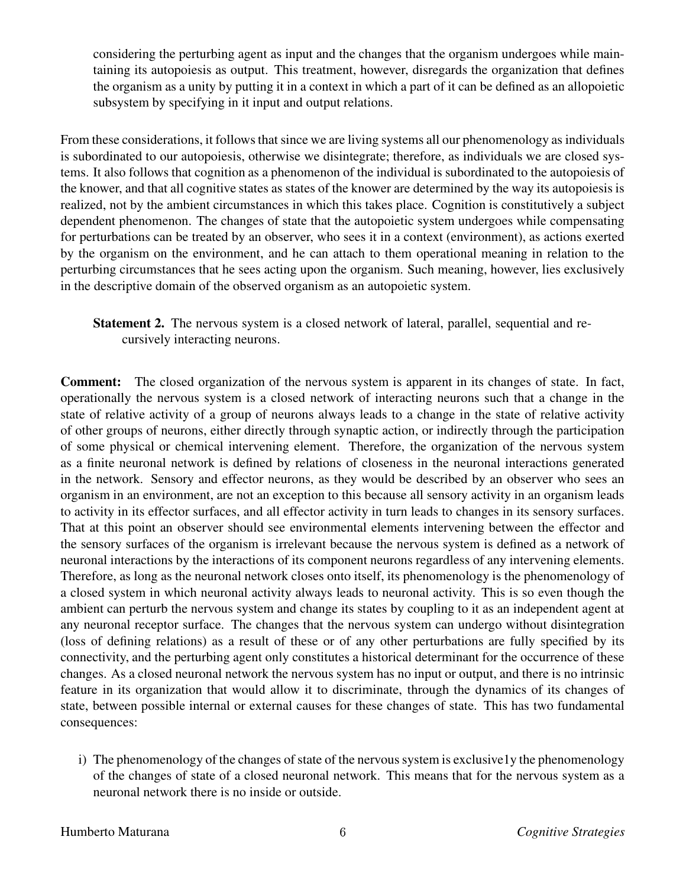considering the perturbing agent as input and the changes that the organism undergoes while maintaining its autopoiesis as output. This treatment, however, disregards the organization that defines the organism as a unity by putting it in a context in which a part of it can be defined as an allopoietic subsystem by specifying in it input and output relations.

From these considerations, it follows that since we are living systems all our phenomenology as individuals is subordinated to our autopoiesis, otherwise we disintegrate; therefore, as individuals we are closed systems. It also follows that cognition as a phenomenon of the individual is subordinated to the autopoiesis of the knower, and that all cognitive states as states of the knower are determined by the way its autopoiesis is realized, not by the ambient circumstances in which this takes place. Cognition is constitutively a subject dependent phenomenon. The changes of state that the autopoietic system undergoes while compensating for perturbations can be treated by an observer, who sees it in a context (environment), as actions exerted by the organism on the environment, and he can attach to them operational meaning in relation to the perturbing circumstances that he sees acting upon the organism. Such meaning, however, lies exclusively in the descriptive domain of the observed organism as an autopoietic system.

**Statement 2.** The nervous system is a closed network of lateral, parallel, sequential and recursively interacting neurons.

**Comment:** The closed organization of the nervous system is apparent in its changes of state. In fact, operationally the nervous system is a closed network of interacting neurons such that a change in the state of relative activity of a group of neurons always leads to a change in the state of relative activity of other groups of neurons, either directly through synaptic action, or indirectly through the participation of some physical or chemical intervening element. Therefore, the organization of the nervous system as a finite neuronal network is defined by relations of closeness in the neuronal interactions generated in the network. Sensory and effector neurons, as they would be described by an observer who sees an organism in an environment, are not an exception to this because all sensory activity in an organism leads to activity in its effector surfaces, and all effector activity in turn leads to changes in its sensory surfaces. That at this point an observer should see environmental elements intervening between the effector and the sensory surfaces of the organism is irrelevant because the nervous system is defined as a network of neuronal interactions by the interactions of its component neurons regardless of any intervening elements. Therefore, as long as the neuronal network closes onto itself, its phenomenology is the phenomenology of a closed system in which neuronal activity always leads to neuronal activity. This is so even though the ambient can perturb the nervous system and change its states by coupling to it as an independent agent at any neuronal receptor surface. The changes that the nervous system can undergo without disintegration (loss of defining relations) as a result of these or of any other perturbations are fully specified by its connectivity, and the perturbing agent only constitutes a historical determinant for the occurrence of these changes. As a closed neuronal network the nervous system has no input or output, and there is no intrinsic feature in its organization that would allow it to discriminate, through the dynamics of its changes of state, between possible internal or external causes for these changes of state. This has two fundamental consequences:

i) The phenomenology of the changes of state of the nervous system is exclusive  $1y$  the phenomenology of the changes of state of a closed neuronal network. This means that for the nervous system as a neuronal network there is no inside or outside.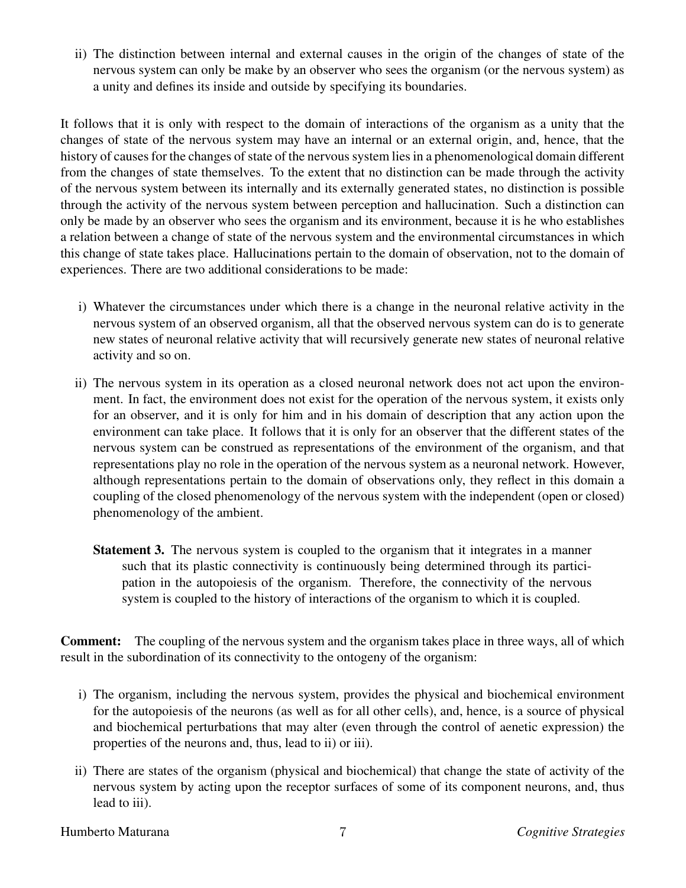ii) The distinction between internal and external causes in the origin of the changes of state of the nervous system can only be make by an observer who sees the organism (or the nervous system) as a unity and defines its inside and outside by specifying its boundaries.

It follows that it is only with respect to the domain of interactions of the organism as a unity that the changes of state of the nervous system may have an internal or an external origin, and, hence, that the history of causes for the changes of state of the nervous system lies in a phenomenological domain different from the changes of state themselves. To the extent that no distinction can be made through the activity of the nervous system between its internally and its externally generated states, no distinction is possible through the activity of the nervous system between perception and hallucination. Such a distinction can only be made by an observer who sees the organism and its environment, because it is he who establishes a relation between a change of state of the nervous system and the environmental circumstances in which this change of state takes place. Hallucinations pertain to the domain of observation, not to the domain of experiences. There are two additional considerations to be made:

- i) Whatever the circumstances under which there is a change in the neuronal relative activity in the nervous system of an observed organism, all that the observed nervous system can do is to generate new states of neuronal relative activity that will recursively generate new states of neuronal relative activity and so on.
- ii) The nervous system in its operation as a closed neuronal network does not act upon the environment. In fact, the environment does not exist for the operation of the nervous system, it exists only for an observer, and it is only for him and in his domain of description that any action upon the environment can take place. It follows that it is only for an observer that the different states of the nervous system can be construed as representations of the environment of the organism, and that representations play no role in the operation of the nervous system as a neuronal network. However, although representations pertain to the domain of observations only, they reflect in this domain a coupling of the closed phenomenology of the nervous system with the independent (open or closed) phenomenology of the ambient.
	- **Statement 3.** The nervous system is coupled to the organism that it integrates in a manner such that its plastic connectivity is continuously being determined through its participation in the autopoiesis of the organism. Therefore, the connectivity of the nervous system is coupled to the history of interactions of the organism to which it is coupled.

**Comment:** The coupling of the nervous system and the organism takes place in three ways, all of which result in the subordination of its connectivity to the ontogeny of the organism:

- i) The organism, including the nervous system, provides the physical and biochemical environment for the autopoiesis of the neurons (as well as for all other cells), and, hence, is a source of physical and biochemical perturbations that may alter (even through the control of aenetic expression) the properties of the neurons and, thus, lead to ii) or iii).
- ii) There are states of the organism (physical and biochemical) that change the state of activity of the nervous system by acting upon the receptor surfaces of some of its component neurons, and, thus lead to iii).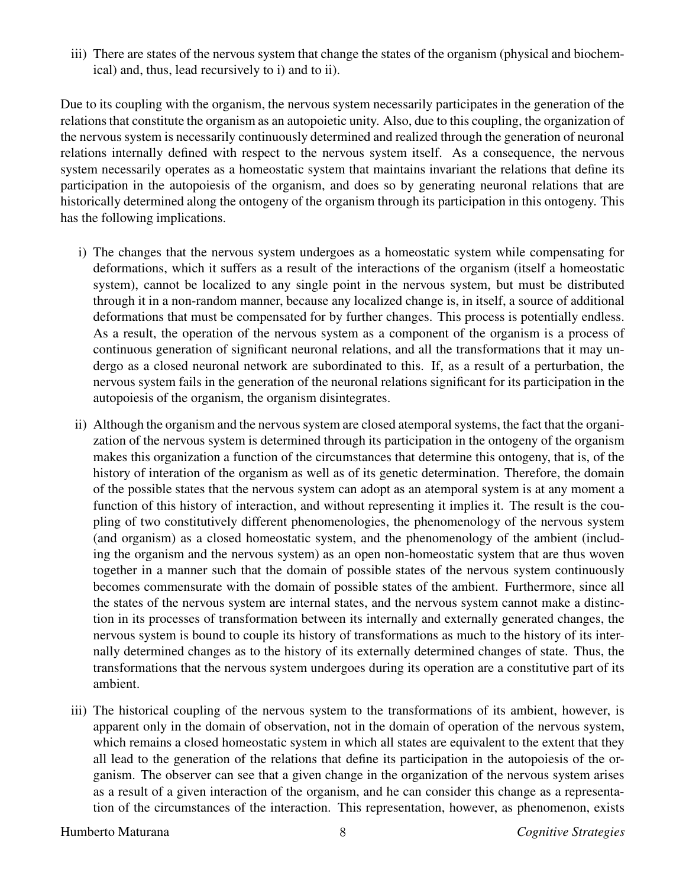iii) There are states of the nervous system that change the states of the organism (physical and biochemical) and, thus, lead recursively to i) and to ii).

Due to its coupling with the organism, the nervous system necessarily participates in the generation of the relationsthat constitute the organism as an autopoietic unity. Also, due to this coupling, the organization of the nervous system is necessarily continuously determined and realized through the generation of neuronal relations internally defined with respect to the nervous system itself. As a consequence, the nervous system necessarily operates as a homeostatic system that maintains invariant the relations that define its participation in the autopoiesis of the organism, and does so by generating neuronal relations that are historically determined along the ontogeny of the organism through its participation in this ontogeny. This has the following implications.

- i) The changes that the nervous system undergoes as a homeostatic system while compensating for deformations, which it suffers as a result of the interactions of the organism (itself a homeostatic system), cannot be localized to any single point in the nervous system, but must be distributed through it in a non-random manner, because any localized change is, in itself, a source of additional deformations that must be compensated for by further changes. This process is potentially endless. As a result, the operation of the nervous system as a component of the organism is a process of continuous generation of significant neuronal relations, and all the transformations that it may undergo as a closed neuronal network are subordinated to this. If, as a result of a perturbation, the nervous system fails in the generation of the neuronal relations significant for its participation in the autopoiesis of the organism, the organism disintegrates.
- ii) Although the organism and the nervous system are closed atemporal systems, the fact that the organization of the nervous system is determined through its participation in the ontogeny of the organism makes this organization a function of the circumstances that determine this ontogeny, that is, of the history of interation of the organism as well as of its genetic determination. Therefore, the domain of the possible states that the nervous system can adopt as an atemporal system is at any moment a function of this history of interaction, and without representing it implies it. The result is the coupling of two constitutively different phenomenologies, the phenomenology of the nervous system (and organism) as a closed homeostatic system, and the phenomenology of the ambient (including the organism and the nervous system) as an open non-homeostatic system that are thus woven together in a manner such that the domain of possible states of the nervous system continuously becomes commensurate with the domain of possible states of the ambient. Furthermore, since all the states of the nervous system are internal states, and the nervous system cannot make a distinction in its processes of transformation between its internally and externally generated changes, the nervous system is bound to couple its history of transformations as much to the history of its internally determined changes as to the history of its externally determined changes of state. Thus, the transformations that the nervous system undergoes during its operation are a constitutive part of its ambient.
- iii) The historical coupling of the nervous system to the transformations of its ambient, however, is apparent only in the domain of observation, not in the domain of operation of the nervous system, which remains a closed homeostatic system in which all states are equivalent to the extent that they all lead to the generation of the relations that define its participation in the autopoiesis of the organism. The observer can see that a given change in the organization of the nervous system arises as a result of a given interaction of the organism, and he can consider this change as a representation of the circumstances of the interaction. This representation, however, as phenomenon, exists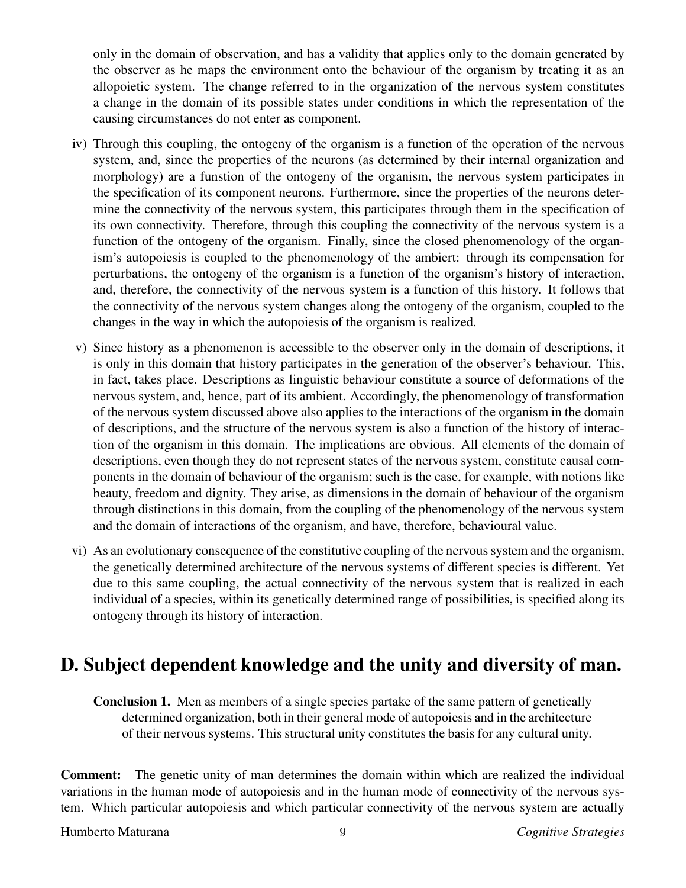only in the domain of observation, and has a validity that applies only to the domain generated by the observer as he maps the environment onto the behaviour of the organism by treating it as an allopoietic system. The change referred to in the organization of the nervous system constitutes a change in the domain of its possible states under conditions in which the representation of the causing circumstances do not enter as component.

- iv) Through this coupling, the ontogeny of the organism is a function of the operation of the nervous system, and, since the properties of the neurons (as determined by their internal organization and morphology) are a funstion of the ontogeny of the organism, the nervous system participates in the specification of its component neurons. Furthermore, since the properties of the neurons determine the connectivity of the nervous system, this participates through them in the specification of its own connectivity. Therefore, through this coupling the connectivity of the nervous system is a function of the ontogeny of the organism. Finally, since the closed phenomenology of the organism's autopoiesis is coupled to the phenomenology of the ambiert: through its compensation for perturbations, the ontogeny of the organism is a function of the organism's history of interaction, and, therefore, the connectivity of the nervous system is a function of this history. It follows that the connectivity of the nervous system changes along the ontogeny of the organism, coupled to the changes in the way in which the autopoiesis of the organism is realized.
- v) Since history as a phenomenon is accessible to the observer only in the domain of descriptions, it is only in this domain that history participates in the generation of the observer's behaviour. This, in fact, takes place. Descriptions as linguistic behaviour constitute a source of deformations of the nervous system, and, hence, part of its ambient. Accordingly, the phenomenology of transformation of the nervous system discussed above also applies to the interactions of the organism in the domain of descriptions, and the structure of the nervous system is also a function of the history of interaction of the organism in this domain. The implications are obvious. All elements of the domain of descriptions, even though they do not represent states of the nervous system, constitute causal components in the domain of behaviour of the organism; such is the case, for example, with notions like beauty, freedom and dignity. They arise, as dimensions in the domain of behaviour of the organism through distinctions in this domain, from the coupling of the phenomenology of the nervous system and the domain of interactions of the organism, and have, therefore, behavioural value.
- vi) As an evolutionary consequence of the constitutive coupling of the nervoussystem and the organism, the genetically determined architecture of the nervous systems of different species is different. Yet due to this same coupling, the actual connectivity of the nervous system that is realized in each individual of a species, within its genetically determined range of possibilities, is specified along its ontogeny through its history of interaction.

## **D. Subject dependent knowledge and the unity and diversity of man.**

**Conclusion 1.** Men as members of a single species partake of the same pattern of genetically determined organization, both in their general mode of autopoiesis and in the architecture of their nervous systems. This structural unity constitutes the basis for any cultural unity.

**Comment:** The genetic unity of man determines the domain within which are realized the individual variations in the human mode of autopoiesis and in the human mode of connectivity of the nervous system. Which particular autopoiesis and which particular connectivity of the nervous system are actually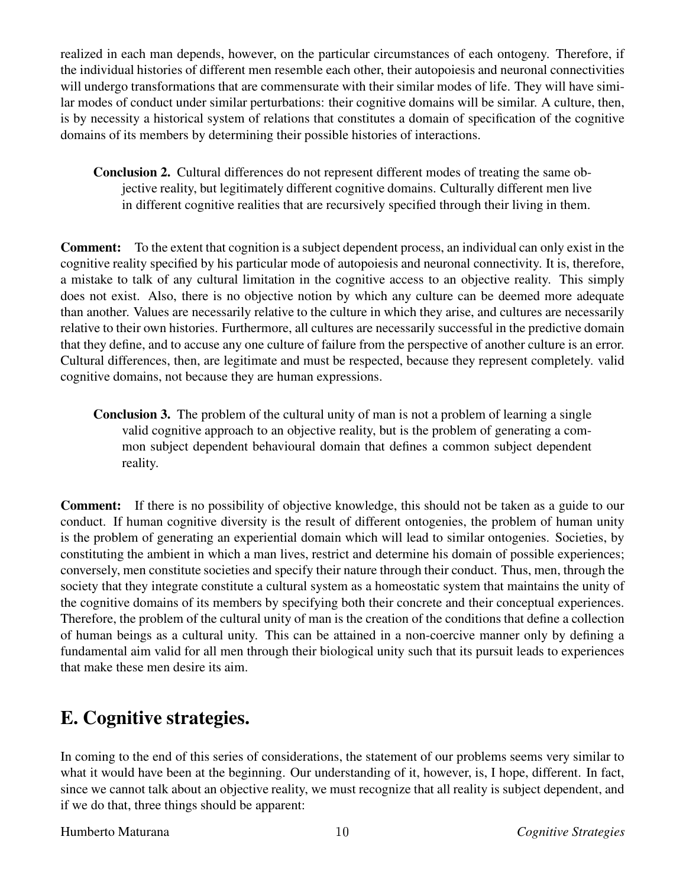realized in each man depends, however, on the particular circumstances of each ontogeny. Therefore, if the individual histories of different men resemble each other, their autopoiesis and neuronal connectivities will undergo transformations that are commensurate with their similar modes of life. They will have similar modes of conduct under similar perturbations: their cognitive domains will be similar. A culture, then, is by necessity a historical system of relations that constitutes a domain of specification of the cognitive domains of its members by determining their possible histories of interactions.

**Conclusion 2.** Cultural differences do not represent different modes of treating the same objective reality, but legitimately different cognitive domains. Culturally different men live in different cognitive realities that are recursively specified through their living in them.

**Comment:** To the extent that cognition is a subject dependent process, an individual can only exist in the cognitive reality specified by his particular mode of autopoiesis and neuronal connectivity. It is, therefore, a mistake to talk of any cultural limitation in the cognitive access to an objective reality. This simply does not exist. Also, there is no objective notion by which any culture can be deemed more adequate than another. Values are necessarily relative to the culture in which they arise, and cultures are necessarily relative to their own histories. Furthermore, all cultures are necessarily successful in the predictive domain that they define, and to accuse any one culture of failure from the perspective of another culture is an error. Cultural differences, then, are legitimate and must be respected, because they represent completely. valid cognitive domains, not because they are human expressions.

**Conclusion 3.** The problem of the cultural unity of man is not a problem of learning a single valid cognitive approach to an objective reality, but is the problem of generating a common subject dependent behavioural domain that defines a common subject dependent reality.

**Comment:** If there is no possibility of objective knowledge, this should not be taken as a guide to our conduct. If human cognitive diversity is the result of different ontogenies, the problem of human unity is the problem of generating an experiential domain which will lead to similar ontogenies. Societies, by constituting the ambient in which a man lives, restrict and determine his domain of possible experiences; conversely, men constitute societies and specify their nature through their conduct. Thus, men, through the society that they integrate constitute a cultural system as a homeostatic system that maintains the unity of the cognitive domains of its members by specifying both their concrete and their conceptual experiences. Therefore, the problem of the cultural unity of man is the creation of the conditions that define a collection of human beings as a cultural unity. This can be attained in a non-coercive manner only by defining a fundamental aim valid for all men through their biological unity such that its pursuit leads to experiences that make these men desire its aim.

## **E. Cognitive strategies.**

In coming to the end of this series of considerations, the statement of our problems seems very similar to what it would have been at the beginning. Our understanding of it, however, is, I hope, different. In fact, since we cannot talk about an objective reality, we must recognize that all reality is subject dependent, and if we do that, three things should be apparent: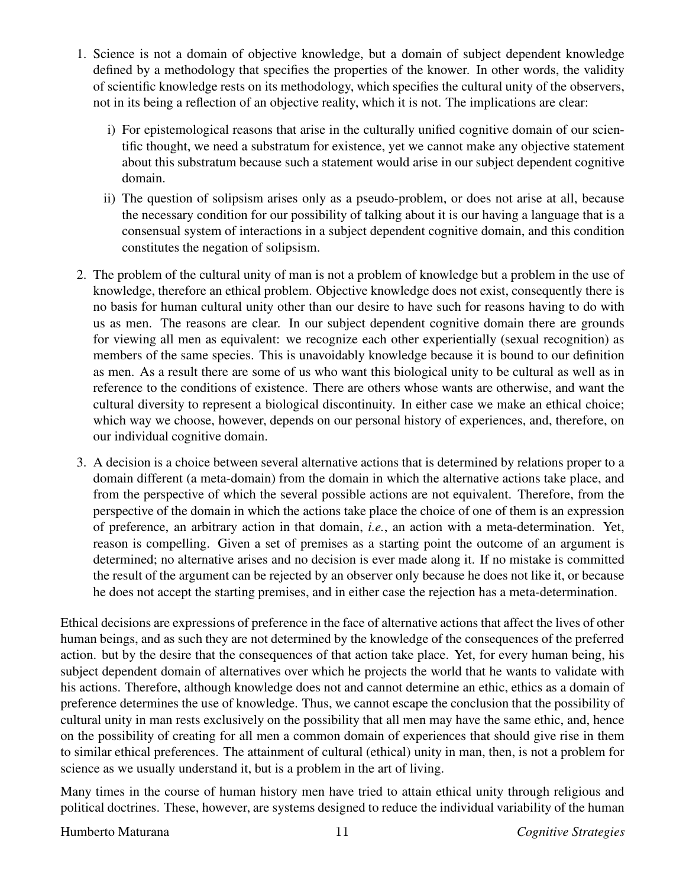- 1. Science is not a domain of objective knowledge, but a domain of subject dependent knowledge defined by a methodology that specifies the properties of the knower. In other words, the validity of scientific knowledge rests on its methodology, which specifies the cultural unity of the observers, not in its being a reflection of an objective reality, which it is not. The implications are clear:
	- i) For epistemological reasons that arise in the culturally unified cognitive domain of our scientific thought, we need a substratum for existence, yet we cannot make any objective statement about this substratum because such a statement would arise in our subject dependent cognitive domain.
	- ii) The question of solipsism arises only as a pseudo-problem, or does not arise at all, because the necessary condition for our possibility of talking about it is our having a language that is a consensual system of interactions in a subject dependent cognitive domain, and this condition constitutes the negation of solipsism.
- 2. The problem of the cultural unity of man is not a problem of knowledge but a problem in the use of knowledge, therefore an ethical problem. Objective knowledge does not exist, consequently there is no basis for human cultural unity other than our desire to have such for reasons having to do with us as men. The reasons are clear. In our subject dependent cognitive domain there are grounds for viewing all men as equivalent: we recognize each other experientially (sexual recognition) as members of the same species. This is unavoidably knowledge because it is bound to our definition as men. As a result there are some of us who want this biological unity to be cultural as well as in reference to the conditions of existence. There are others whose wants are otherwise, and want the cultural diversity to represent a biological discontinuity. In either case we make an ethical choice; which way we choose, however, depends on our personal history of experiences, and, therefore, on our individual cognitive domain.
- 3. A decision is a choice between several alternative actions that is determined by relations proper to a domain different (a meta-domain) from the domain in which the alternative actions take place, and from the perspective of which the several possible actions are not equivalent. Therefore, from the perspective of the domain in which the actions take place the choice of one of them is an expression of preference, an arbitrary action in that domain, *i.e.*, an action with a meta-determination. Yet, reason is compelling. Given a set of premises as a starting point the outcome of an argument is determined; no alternative arises and no decision is ever made along it. If no mistake is committed the result of the argument can be rejected by an observer only because he does not like it, or because he does not accept the starting premises, and in either case the rejection has a meta-determination.

Ethical decisions are expressions of preference in the face of alternative actions that affect the lives of other human beings, and as such they are not determined by the knowledge of the consequences of the preferred action. but by the desire that the consequences of that action take place. Yet, for every human being, his subject dependent domain of alternatives over which he projects the world that he wants to validate with his actions. Therefore, although knowledge does not and cannot determine an ethic, ethics as a domain of preference determines the use of knowledge. Thus, we cannot escape the conclusion that the possibility of cultural unity in man rests exclusively on the possibility that all men may have the same ethic, and, hence on the possibility of creating for all men a common domain of experiences that should give rise in them to similar ethical preferences. The attainment of cultural (ethical) unity in man, then, is not a problem for science as we usually understand it, but is a problem in the art of living.

Many times in the course of human history men have tried to attain ethical unity through religious and political doctrines. These, however, are systems designed to reduce the individual variability of the human

### Humberto Maturana *Cognitive Strategies*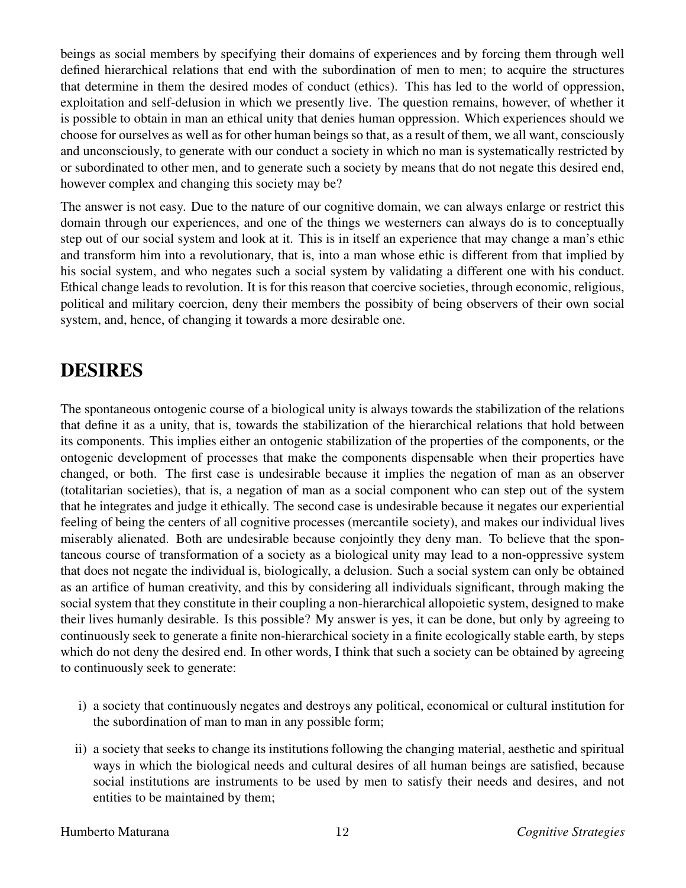beings as social members by specifying their domains of experiences and by forcing them through well defined hierarchical relations that end with the subordination of men to men; to acquire the structures that determine in them the desired modes of conduct (ethics). This has led to the world of oppression, exploitation and self-delusion in which we presently live. The question remains, however, of whether it is possible to obtain in man an ethical unity that denies human oppression. Which experiences should we choose for ourselves as well as for other human beings so that, as a result of them, we all want, consciously and unconsciously, to generate with our conduct a society in which no man is systematically restricted by or subordinated to other men, and to generate such a society by means that do not negate this desired end, however complex and changing this society may be?

The answer is not easy. Due to the nature of our cognitive domain, we can always enlarge or restrict this domain through our experiences, and one of the things we westerners can always do is to conceptually step out of our social system and look at it. This is in itself an experience that may change a man's ethic and transform him into a revolutionary, that is, into a man whose ethic is different from that implied by his social system, and who negates such a social system by validating a different one with his conduct. Ethical change leads to revolution. It is for this reason that coercive societies, through economic, religious, political and military coercion, deny their members the possibity of being observers of their own social system, and, hence, of changing it towards a more desirable one.

### **DESIRES**

The spontaneous ontogenic course of a biological unity is always towards the stabilization of the relations that define it as a unity, that is, towards the stabilization of the hierarchical relations that hold between its components. This implies either an ontogenic stabilization of the properties of the components, or the ontogenic development of processes that make the components dispensable when their properties have changed, or both. The first case is undesirable because it implies the negation of man as an observer (totalitarian societies), that is, a negation of man as a social component who can step out of the system that he integrates and judge it ethically. The second case is undesirable because it negates our experiential feeling of being the centers of all cognitive processes (mercantile society), and makes our individual lives miserably alienated. Both are undesirable because conjointly they deny man. To believe that the spontaneous course of transformation of a society as a biological unity may lead to a non-oppressive system that does not negate the individual is, biologically, a delusion. Such a social system can only be obtained as an artifice of human creativity, and this by considering all individuals significant, through making the social system that they constitute in their coupling a non-hierarchical allopoietic system, designed to make their lives humanly desirable. Is this possible? My answer is yes, it can be done, but only by agreeing to continuously seek to generate a finite non-hierarchical society in a finite ecologically stable earth, by steps which do not deny the desired end. In other words, I think that such a society can be obtained by agreeing to continuously seek to generate:

- i) a society that continuously negates and destroys any political, economical or cultural institution for the subordination of man to man in any possible form;
- ii) a society that seeks to change its institutions following the changing material, aesthetic and spiritual ways in which the biological needs and cultural desires of all human beings are satisfied, because social institutions are instruments to be used by men to satisfy their needs and desires, and not entities to be maintained by them;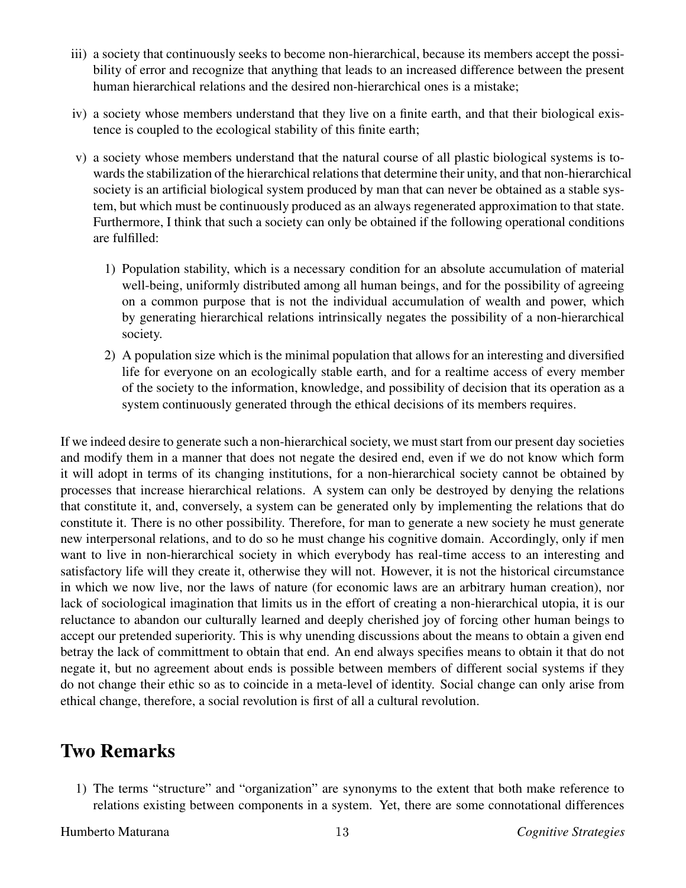- iii) a society that continuously seeks to become non-hierarchical, because its members accept the possibility of error and recognize that anything that leads to an increased difference between the present human hierarchical relations and the desired non-hierarchical ones is a mistake;
- iv) a society whose members understand that they live on a finite earth, and that their biological existence is coupled to the ecological stability of this finite earth;
- v) a society whose members understand that the natural course of all plastic biological systems is towards the stabilization of the hierarchical relations that determine their unity, and that non-hierarchical society is an artificial biological system produced by man that can never be obtained as a stable system, but which must be continuously produced as an always regenerated approximation to that state. Furthermore, I think that such a society can only be obtained if the following operational conditions are fulfilled:
	- 1) Population stability, which is a necessary condition for an absolute accumulation of material well-being, uniformly distributed among all human beings, and for the possibility of agreeing on a common purpose that is not the individual accumulation of wealth and power, which by generating hierarchical relations intrinsically negates the possibility of a non-hierarchical society.
	- 2) A population size which is the minimal population that allows for an interesting and diversified life for everyone on an ecologically stable earth, and for a realtime access of every member of the society to the information, knowledge, and possibility of decision that its operation as a system continuously generated through the ethical decisions of its members requires.

If we indeed desire to generate such a non-hierarchical society, we muststart from our present day societies and modify them in a manner that does not negate the desired end, even if we do not know which form it will adopt in terms of its changing institutions, for a non-hierarchical society cannot be obtained by processes that increase hierarchical relations. A system can only be destroyed by denying the relations that constitute it, and, conversely, a system can be generated only by implementing the relations that do constitute it. There is no other possibility. Therefore, for man to generate a new society he must generate new interpersonal relations, and to do so he must change his cognitive domain. Accordingly, only if men want to live in non-hierarchical society in which everybody has real-time access to an interesting and satisfactory life will they create it, otherwise they will not. However, it is not the historical circumstance in which we now live, nor the laws of nature (for economic laws are an arbitrary human creation), nor lack of sociological imagination that limits us in the effort of creating a non-hierarchical utopia, it is our reluctance to abandon our culturally learned and deeply cherished joy of forcing other human beings to accept our pretended superiority. This is why unending discussions about the means to obtain a given end betray the lack of committment to obtain that end. An end always specifies means to obtain it that do not negate it, but no agreement about ends is possible between members of different social systems if they do not change their ethic so as to coincide in a meta-level of identity. Social change can only arise from ethical change, therefore, a social revolution is first of all a cultural revolution.

### **Two Remarks**

1) The terms "structure" and "organization" are synonyms to the extent that both make reference to relations existing between components in a system. Yet, there are some connotational differences

Humberto Maturana  $13$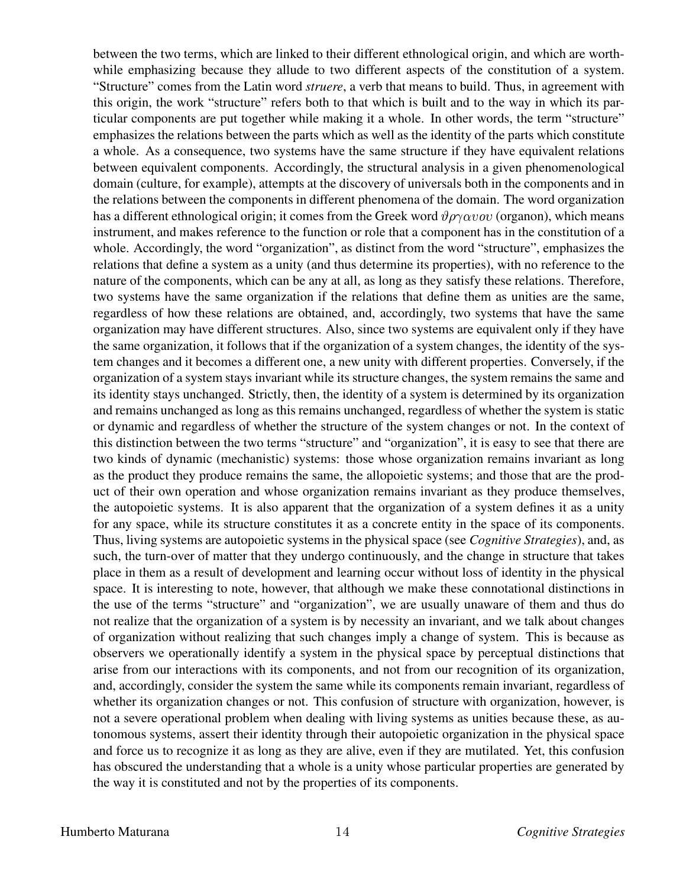between the two terms, which are linked to their different ethnological origin, and which are worthwhile emphasizing because they allude to two different aspects of the constitution of a system. "Structure" comes from the Latin word *struere*, a verb that means to build. Thus, in agreement with this origin, the work "structure" refers both to that which is built and to the way in which its particular components are put together while making it a whole. In other words, the term "structure" emphasizes the relations between the parts which as well as the identity of the parts which constitute a whole. As a consequence, two systems have the same structure if they have equivalent relations between equivalent components. Accordingly, the structural analysis in a given phenomenological domain (culture, for example), attempts at the discovery of universals both in the components and in the relations between the components in different phenomena of the domain. The word organization has a different ethnological origin; it comes from the Greek word  $\vartheta \rho \gamma \alpha \nu \omega v$  (organon), which means instrument, and makes reference to the function or role that a component has in the constitution of a whole. Accordingly, the word "organization", as distinct from the word "structure", emphasizes the relations that define a system as a unity (and thus determine its properties), with no reference to the nature of the components, which can be any at all, as long as they satisfy these relations. Therefore, two systems have the same organization if the relations that define them as unities are the same, regardless of how these relations are obtained, and, accordingly, two systems that have the same organization may have different structures. Also, since two systems are equivalent only if they have the same organization, it follows that if the organization of a system changes, the identity of the system changes and it becomes a different one, a new unity with different properties. Conversely, if the organization of a system stays invariant while its structure changes, the system remains the same and its identity stays unchanged. Strictly, then, the identity of a system is determined by its organization and remains unchanged as long as this remains unchanged, regardless of whether the system is static or dynamic and regardless of whether the structure of the system changes or not. In the context of this distinction between the two terms "structure" and "organization", it is easy to see that there are two kinds of dynamic (mechanistic) systems: those whose organization remains invariant as long as the product they produce remains the same, the allopoietic systems; and those that are the product of their own operation and whose organization remains invariant as they produce themselves, the autopoietic systems. It is also apparent that the organization of a system defines it as a unity for any space, while its structure constitutes it as a concrete entity in the space of its components. Thus, living systems are autopoietic systems in the physical space (see *Cognitive Strategies*), and, as such, the turn-over of matter that they undergo continuously, and the change in structure that takes place in them as a result of development and learning occur without loss of identity in the physical space. It is interesting to note, however, that although we make these connotational distinctions in the use of the terms "structure" and "organization", we are usually unaware of them and thus do not realize that the organization of a system is by necessity an invariant, and we talk about changes of organization without realizing that such changes imply a change of system. This is because as observers we operationally identify a system in the physical space by perceptual distinctions that arise from our interactions with its components, and not from our recognition of its organization, and, accordingly, consider the system the same while its components remain invariant, regardless of whether its organization changes or not. This confusion of structure with organization, however, is not a severe operational problem when dealing with living systems as unities because these, as autonomous systems, assert their identity through their autopoietic organization in the physical space and force us to recognize it as long as they are alive, even if they are mutilated. Yet, this confusion has obscured the understanding that a whole is a unity whose particular properties are generated by the way it is constituted and not by the properties of its components.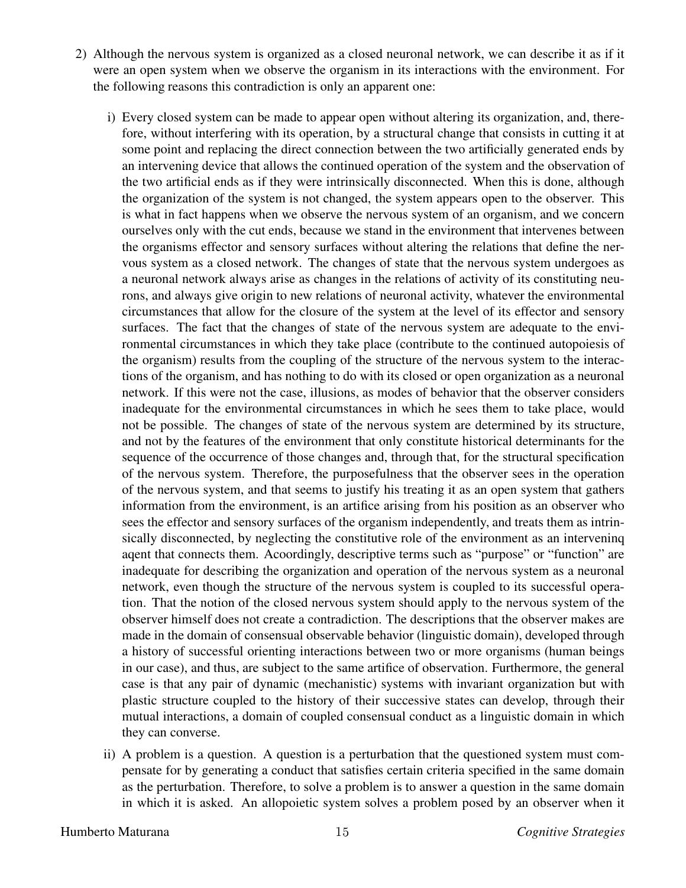- 2) Although the nervous system is organized as a closed neuronal network, we can describe it as if it were an open system when we observe the organism in its interactions with the environment. For the following reasons this contradiction is only an apparent one:
	- i) Every closed system can be made to appear open without altering its organization, and, therefore, without interfering with its operation, by a structural change that consists in cutting it at some point and replacing the direct connection between the two artificially generated ends by an intervening device that allows the continued operation of the system and the observation of the two artificial ends as if they were intrinsically disconnected. When this is done, although the organization of the system is not changed, the system appears open to the observer. This is what in fact happens when we observe the nervous system of an organism, and we concern ourselves only with the cut ends, because we stand in the environment that intervenes between the organisms effector and sensory surfaces without altering the relations that define the nervous system as a closed network. The changes of state that the nervous system undergoes as a neuronal network always arise as changes in the relations of activity of its constituting neurons, and always give origin to new relations of neuronal activity, whatever the environmental circumstances that allow for the closure of the system at the level of its effector and sensory surfaces. The fact that the changes of state of the nervous system are adequate to the environmental circumstances in which they take place (contribute to the continued autopoiesis of the organism) results from the coupling of the structure of the nervous system to the interactions of the organism, and has nothing to do with its closed or open organization as a neuronal network. If this were not the case, illusions, as modes of behavior that the observer considers inadequate for the environmental circumstances in which he sees them to take place, would not be possible. The changes of state of the nervous system are determined by its structure, and not by the features of the environment that only constitute historical determinants for the sequence of the occurrence of those changes and, through that, for the structural specification of the nervous system. Therefore, the purposefulness that the observer sees in the operation of the nervous system, and that seems to justify his treating it as an open system that gathers information from the environment, is an artifice arising from his position as an observer who sees the effector and sensory surfaces of the organism independently, and treats them as intrinsically disconnected, by neglecting the constitutive role of the environment as an interveninq aqent that connects them. Acoordingly, descriptive terms such as "purpose" or "function" are inadequate for describing the organization and operation of the nervous system as a neuronal network, even though the structure of the nervous system is coupled to its successful operation. That the notion of the closed nervous system should apply to the nervous system of the observer himself does not create a contradiction. The descriptions that the observer makes are made in the domain of consensual observable behavior (linguistic domain), developed through a history of successful orienting interactions between two or more organisms (human beings in our case), and thus, are subject to the same artifice of observation. Furthermore, the general case is that any pair of dynamic (mechanistic) systems with invariant organization but with plastic structure coupled to the history of their successive states can develop, through their mutual interactions, a domain of coupled consensual conduct as a linguistic domain in which they can converse.
	- ii) A problem is a question. A question is a perturbation that the questioned system must compensate for by generating a conduct that satisfies certain criteria specified in the same domain as the perturbation. Therefore, to solve a problem is to answer a question in the same domain in which it is asked. An allopoietic system solves a problem posed by an observer when it